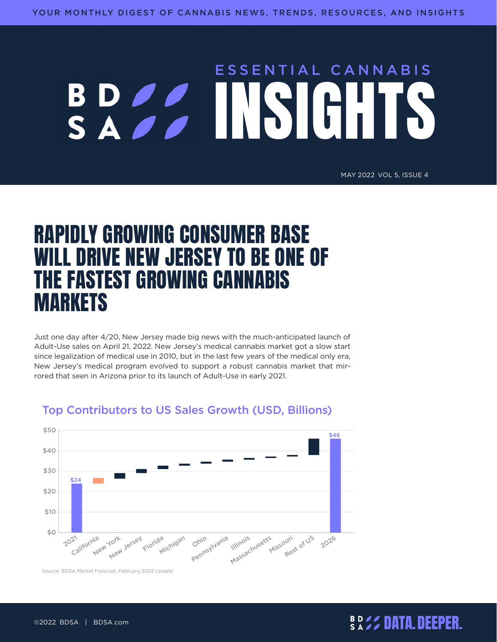# ESSENTIAL CANNABIS BD*OO*

#### MAY 2022 VOL 5, ISSUE 4

# RAPIDLY GROWING CONSUMER BASE WILL DRIVE NEW JERSEY TO BE ONE OF THE FASTEST GROWING CANNABIS **MARKETS**

Just one day after 4/20, New Jersey made big news with the much-anticipated launch of Adult-Use sales on April 21, 2022. New Jersey's medical cannabis market got a slow start since legalization of medical use in 2010, but in the last few years of the medical only era, New Jersey's medical program evolved to support a robust cannabis market that mirrored that seen in Arizona prior to its launch of Adult-Use in early 2021.



#### Top Contributors to US Sales Growth (USD, Billions)

Source: BDSA Market Forecast, February 2022 Update

### DATA.DEEPER. ©2022 BDSA | BDSA.com